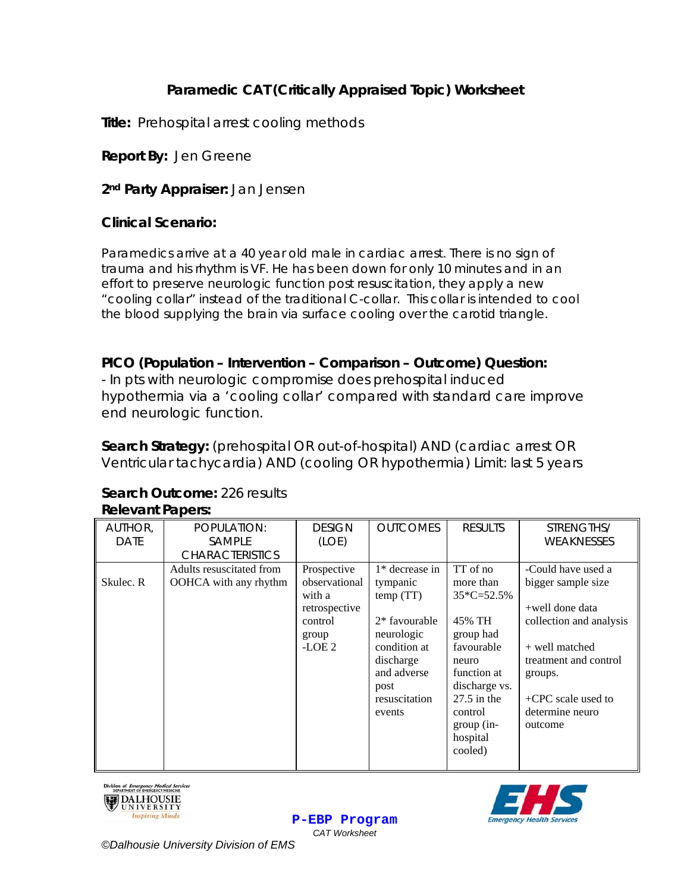# **Paramedic CAT (Critically Appraised Topic) Worksheet**

**Title:** Prehospital arrest cooling methods

**Report By:** Jen Greene

**2nd Party Appraiser:** Jan Jensen

### **Clinical Scenario:**

Paramedics arrive at a 40 year old male in cardiac arrest. There is no sign of trauma and his rhythm is VF. He has been down for only 10 minutes and in an effort to preserve neurologic function post resuscitation, they apply a new "cooling collar" instead of the traditional C-collar. This collar is intended to cool the blood supplying the brain via surface cooling over the carotid triangle.

### **PICO (Population – Intervention – Comparison – Outcome) Question:**

- In pts with neurologic compromise does prehospital induced hypothermia via a 'cooling collar' compared with standard care improve end neurologic function.

**Search Strategy:** (prehospital OR out-of-hospital) AND (cardiac arrest OR Ventricular tachycardia) AND (cooling OR hypothermia) Limit: last 5 years

# **Search Outcome:** 226 results

| AUTHOR,   | POPULATION:              | <b>DESIGN</b> | <b>OUTCOMES</b>  | <b>RESULTS</b> | STRENGTHS/              |
|-----------|--------------------------|---------------|------------------|----------------|-------------------------|
| DATE      | SAMPLE                   | (LOE)         |                  |                | <b>WEAKNESSES</b>       |
|           | <b>CHARACTERISTICS</b>   |               |                  |                |                         |
|           | Adults resuscitated from | Prospective   | $1*$ decrease in | TT of no       | -Could have used a      |
| Skulec. R | OOHCA with any rhythm    | observational | tympanic         | more than      | bigger sample size      |
|           |                          | with a        | temp(TT)         | $35*C=52.5%$   |                         |
|           |                          | retrospective |                  |                | +well done data         |
|           |                          | control       | $2*$ favourable  | 45% TH         | collection and analysis |
|           |                          | group         | neurologic       | group had      |                         |
|           |                          | $-LOE2$       | condition at     | favourable     | + well matched          |
|           |                          |               | discharge        | neuro          | treatment and control   |
|           |                          |               | and adverse      | function at    | groups.                 |
|           |                          |               | post             | discharge vs.  |                         |
|           |                          |               | resuscitation    | $27.5$ in the  | $+$ CPC scale used to   |
|           |                          |               | events           | control        | determine neuro         |
|           |                          |               |                  | $group (in-$   | outcome                 |
|           |                          |               |                  | hospital       |                         |
|           |                          |               |                  | cooled)        |                         |
|           |                          |               |                  |                |                         |

## **Relevant Papers:**







*©Dalhousie University Division of EMS*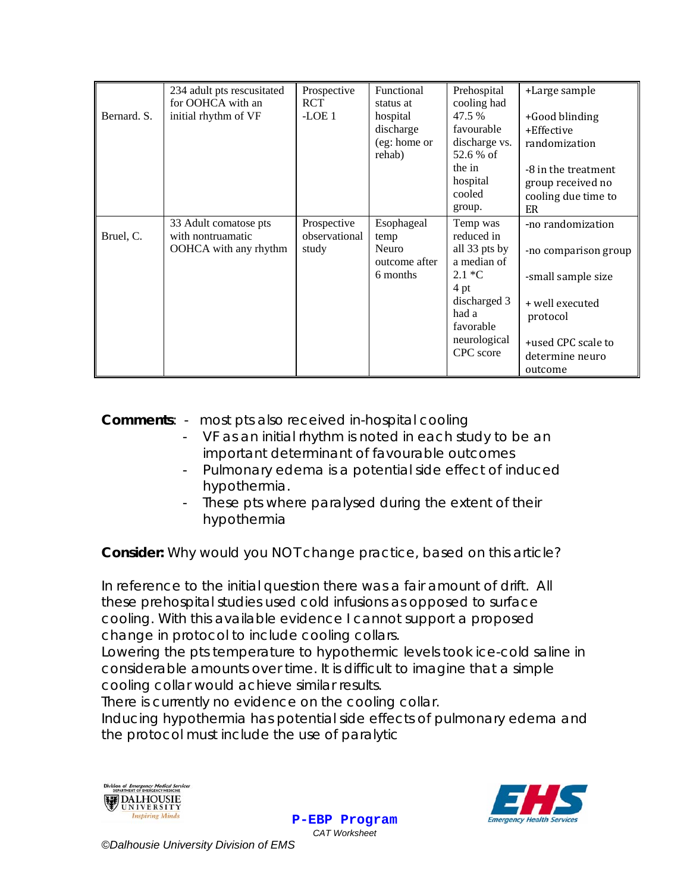|             | 234 adult pts rescusitated<br>for OOHCA with an                     | Prospective<br>RCT                    | Functional<br>status at                                  | Prehospital<br>cooling had                                                                                                                    | +Large sample                                                                                                                                      |
|-------------|---------------------------------------------------------------------|---------------------------------------|----------------------------------------------------------|-----------------------------------------------------------------------------------------------------------------------------------------------|----------------------------------------------------------------------------------------------------------------------------------------------------|
| Bernard. S. | initial rhythm of VF                                                | $-LOE1$                               | hospital<br>discharge<br>(eg: home or<br>rehab)          | 47.5 %<br>favourable<br>discharge vs.<br>52.6 % of<br>the in<br>hospital<br>cooled<br>group.                                                  | +Good blinding<br>+Effective<br>randomization<br>-8 in the treatment<br>group received no<br>cooling due time to<br>ER                             |
| Bruel, C.   | 33 Adult comatose pts<br>with nontruamatic<br>OOHCA with any rhythm | Prospective<br>observational<br>study | Esophageal<br>temp<br>Neuro<br>outcome after<br>6 months | Temp was<br>reduced in<br>all 33 pts by<br>a median of<br>$2.1 *C$<br>4 pt<br>discharged 3<br>had a<br>favorable<br>neurological<br>CPC score | -no randomization<br>-no comparison group<br>-small sample size<br>+ well executed<br>protocol<br>+used CPC scale to<br>determine neuro<br>outcome |

**Comments**: - most pts also received in-hospital cooling

- VF as an initial rhythm is noted in each study to be an important determinant of favourable outcomes
- Pulmonary edema is a potential side effect of induced hypothermia.
- These pts where paralysed during the extent of their hypothermia

**Consider:** *Why would you NOT change practice, based on this article?* 

*In reference to the initial question there was a fair amount of drift. All these prehospital studies used cold infusions as opposed to surface cooling. With this available evidence I cannot support a proposed change in protocol to include cooling collars.* 

Lowering the pts temperature to hypothermic levels took ice-cold saline in *considerable amounts over time. It is difficult to imagine that a simple cooling collar would achieve similar results.* 

*There is currently no evidence on the cooling collar.* 

*Inducing hypothermia has potential side effects of pulmonary edema and the protocol must include the use of paralytic*





**P-EBP Program** *CAT Worksheet*